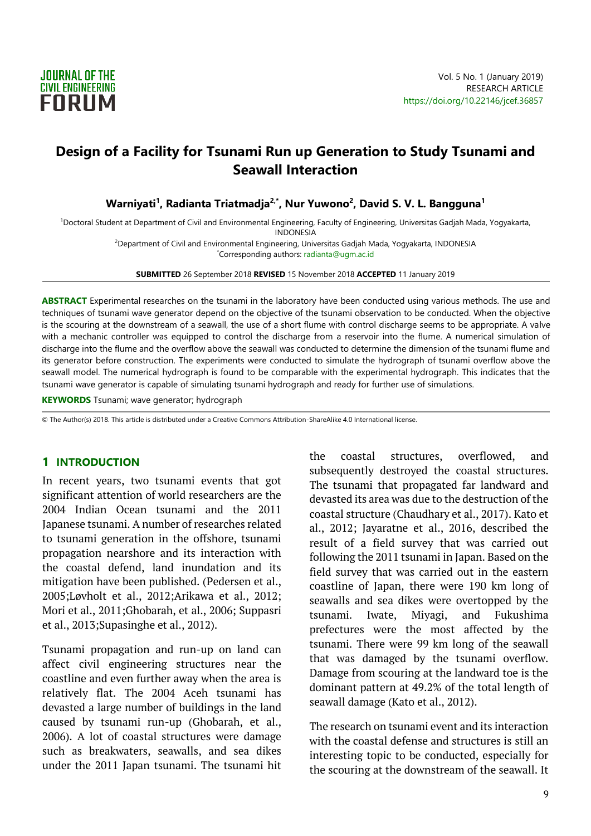

# **Design of a Facility for Tsunami Run up Generation to Study Tsunami and Seawall Interaction**

**Warniyati<sup>1</sup> , Radianta Triatmadja2,\*, Nur Yuwono<sup>2</sup> , David S. V. L. Bangguna<sup>1</sup>**

<sup>1</sup>Doctoral Student at Department of Civil and Environmental Engineering, Faculty of Engineering, Universitas Gadjah Mada, Yogyakarta, INDONESIA <sup>2</sup>Department of Civil and Environmental Engineering, Universitas Gadjah Mada, Yogyakarta, INDONESIA

\*Corresponding authors: radianta@ugm.ac.id

**SUBMITTED** 26 September 2018 **REVISED** 15 November 2018 **ACCEPTED** 11 January 2019

**ABSTRACT** Experimental researches on the tsunami in the laboratory have been conducted using various methods. The use and techniques of tsunami wave generator depend on the objective of the tsunami observation to be conducted. When the objective is the scouring at the downstream of a seawall, the use of a short flume with control discharge seems to be appropriate. A valve with a mechanic controller was equipped to control the discharge from a reservoir into the flume. A numerical simulation of discharge into the flume and the overflow above the seawall was conducted to determine the dimension of the tsunami flume and its generator before construction. The experiments were conducted to simulate the hydrograph of tsunami overflow above the seawall model. The numerical hydrograph is found to be comparable with the experimental hydrograph. This indicates that the tsunami wave generator is capable of simulating tsunami hydrograph and ready for further use of simulations.

**KEYWORDS** Tsunami; wave generator; hydrograph

© The Author(s) 2018. This article is distributed under a Creative Commons Attribution-ShareAlike 4.0 International license.

#### **1 INTRODUCTION**

In recent years, two tsunami events that got significant attention of world researchers are the 2004 Indian Ocean tsunami and the 2011 Japanese tsunami. A number of researches related to tsunami generation in the offshore, tsunami propagation nearshore and its interaction with the coastal defend, land inundation and its mitigation have been published. (Pedersen et al., 2005;Løvholt et al., 2012;Arikawa et al., 2012; Mori et al., 2011;Ghobarah, et al., 2006; Suppasri et al., 2013;Supasinghe et al., 2012).

Tsunami propagation and run-up on land can affect civil engineering structures near the coastline and even further away when the area is relatively flat. The 2004 Aceh tsunami has devasted a large number of buildings in the land caused by tsunami run-up (Ghobarah, et al., 2006). A lot of coastal structures were damage such as breakwaters, seawalls, and sea dikes under the 2011 Japan tsunami. The tsunami hit the coastal structures, overflowed, and subsequently destroyed the coastal structures. The tsunami that propagated far landward and devasted its area was due to the destruction of the coastal structure (Chaudhary et al., 2017). Kato et al., 2012; Jayaratne et al., 2016, described the result of a field survey that was carried out following the 2011 tsunami in Japan. Based on the field survey that was carried out in the eastern coastline of Japan, there were 190 km long of seawalls and sea dikes were overtopped by the tsunami. Iwate, Miyagi, and Fukushima prefectures were the most affected by the tsunami. There were 99 km long of the seawall that was damaged by the tsunami overflow. Damage from scouring at the landward toe is the dominant pattern at 49.2% of the total length of seawall damage (Kato et al., 2012).

The research on tsunami event and its interaction with the coastal defense and structures is still an interesting topic to be conducted, especially for the scouring at the downstream of the seawall. It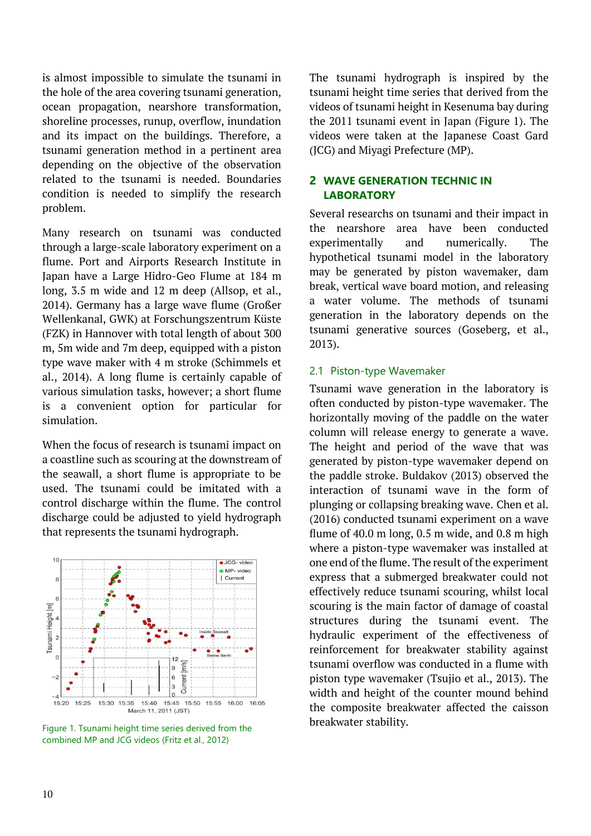is almost impossible to simulate the tsunami in the hole of the area covering tsunami generation, ocean propagation, nearshore transformation, shoreline processes, runup, overflow, inundation and its impact on the buildings. Therefore, a tsunami generation method in a pertinent area depending on the objective of the observation related to the tsunami is needed. Boundaries condition is needed to simplify the research problem.

Many research on tsunami was conducted through a large-scale laboratory experiment on a flume. Port and Airports Research Institute in Japan have a Large Hidro-Geo Flume at 184 m long, 3.5 m wide and 12 m deep (Allsop, et al., 2014). Germany has a large wave flume (Großer Wellenkanal, GWK) at Forschungszentrum Küste (FZK) in Hannover with total length of about 300 m, 5m wide and 7m deep, equipped with a piston type wave maker with 4 m stroke (Schimmels et al., 2014). A long flume is certainly capable of various simulation tasks, however; a short flume is a convenient option for particular for simulation.

When the focus of research is tsunami impact on a coastline such as scouring at the downstream of the seawall, a short flume is appropriate to be used. The tsunami could be imitated with a control discharge within the flume. The control discharge could be adjusted to yield hydrograph that represents the tsunami hydrograph.



Figure 1. Tsunami height time series derived from the combined MP and JCG videos (Fritz et al., 2012)

The tsunami hydrograph is inspired by the tsunami height time series that derived from the videos of tsunami height in Kesenuma bay during the 2011 tsunami event in Japan (Figure 1). The videos were taken at the Japanese Coast Gard (JCG) and Miyagi Prefecture (MP).

# **2 WAVE GENERATION TECHNIC IN LABORATORY**

Several researchs on tsunami and their impact in the nearshore area have been conducted experimentally and numerically. The hypothetical tsunami model in the laboratory may be generated by piston wavemaker, dam break, vertical wave board motion, and releasing a water volume. The methods of tsunami generation in the laboratory depends on the tsunami generative sources (Goseberg, et al., 2013).

# 2.1 Piston-type Wavemaker

Tsunami wave generation in the laboratory is often conducted by piston-type wavemaker. The horizontally moving of the paddle on the water column will release energy to generate a wave. The height and period of the wave that was generated by piston-type wavemaker depend on the paddle stroke. Buldakov (2013) observed the interaction of tsunami wave in the form of plunging or collapsing breaking wave. Chen et al. (2016) conducted tsunami experiment on a wave flume of 40.0 m long, 0.5 m wide, and 0.8 m high where a piston-type wavemaker was installed at one end of the flume. The result of the experiment express that a submerged breakwater could not effectively reduce tsunami scouring, whilst local scouring is the main factor of damage of coastal structures during the tsunami event. The hydraulic experiment of the effectiveness of reinforcement for breakwater stability against tsunami overflow was conducted in a flume with piston type wavemaker (Tsujio et al., 2013). The width and height of the counter mound behind the composite breakwater affected the caisson breakwater stability.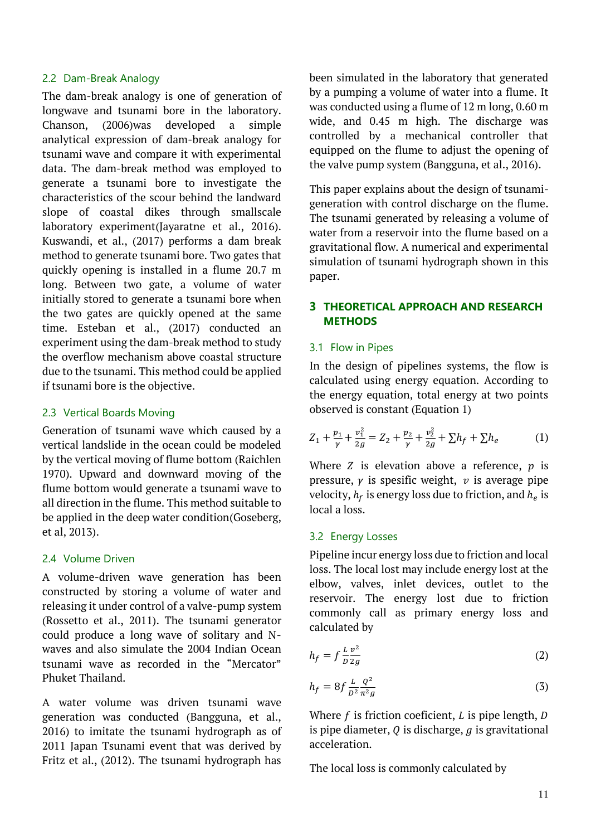## 2.2 Dam-Break Analogy

The dam-break analogy is one of generation of longwave and tsunami bore in the laboratory. Chanson, (2006)was developed a simple analytical expression of dam-break analogy for tsunami wave and compare it with experimental data. The dam-break method was employed to generate a tsunami bore to investigate the characteristics of the scour behind the landward slope of coastal dikes through smallscale laboratory experiment(Jayaratne et al., 2016). Kuswandi, et al., (2017) performs a dam break method to generate tsunami bore. Two gates that quickly opening is installed in a flume 20.7 m long. Between two gate, a volume of water initially stored to generate a tsunami bore when the two gates are quickly opened at the same time. Esteban et al., (2017) conducted an experiment using the dam-break method to study the overflow mechanism above coastal structure due to the tsunami. This method could be applied if tsunami bore is the objective.

# 2.3 Vertical Boards Moving

Generation of tsunami wave which caused by a vertical landslide in the ocean could be modeled by the vertical moving of flume bottom (Raichlen 1970). Upward and downward moving of the flume bottom would generate a tsunami wave to all direction in the flume. This method suitable to be applied in the deep water condition(Goseberg, et al, 2013).

### 2.4 Volume Driven

A volume-driven wave generation has been constructed by storing a volume of water and releasing it under control of a valve-pump system (Rossetto et al., 2011). The tsunami generator could produce a long wave of solitary and Nwaves and also simulate the 2004 Indian Ocean tsunami wave as recorded in the "Mercator" Phuket Thailand.

A water volume was driven tsunami wave generation was conducted (Bangguna, et al., 2016) to imitate the tsunami hydrograph as of 2011 Japan Tsunami event that was derived by Fritz et al., (2012). The tsunami hydrograph has been simulated in the laboratory that generated by a pumping a volume of water into a flume. It was conducted using a flume of 12 m long, 0.60 m wide, and 0.45 m high. The discharge was controlled by a mechanical controller that equipped on the flume to adjust the opening of the valve pump system (Bangguna, et al., 2016).

This paper explains about the design of tsunamigeneration with control discharge on the flume. The tsunami generated by releasing a volume of water from a reservoir into the flume based on a gravitational flow. A numerical and experimental simulation of tsunami hydrograph shown in this paper.

# **3 THEORETICAL APPROACH AND RESEARCH METHODS**

# 3.1 Flow in Pipes

In the design of pipelines systems, the flow is calculated using energy equation. According to the energy equation, total energy at two points observed is constant (Equation 1)

$$
Z_1 + \frac{p_1}{\gamma} + \frac{v_1^2}{2g} = Z_2 + \frac{p_2}{\gamma} + \frac{v_2^2}{2g} + \sum h_f + \sum h_e \tag{1}
$$

Where  $Z$  is elevation above a reference,  $p$  is pressure,  $\gamma$  is spesific weight,  $\nu$  is average pipe velocity,  $h_f$  is energy loss due to friction, and  $h_e$  is local a loss.

# 3.2 Energy Losses

Pipeline incur energy loss due to friction and local loss. The local lost may include energy lost at the elbow, valves, inlet devices, outlet to the reservoir. The energy lost due to friction commonly call as primary energy loss and calculated by

$$
h_f = f \frac{L}{D} \frac{v^2}{2g} \tag{2}
$$

$$
h_f = 8f \frac{L}{D^2} \frac{Q^2}{\pi^2 g} \tag{3}
$$

Where  $f$  is friction coeficient,  $L$  is pipe length,  $D$ is pipe diameter,  $Q$  is discharge,  $q$  is gravitational acceleration.

The local loss is commonly calculated by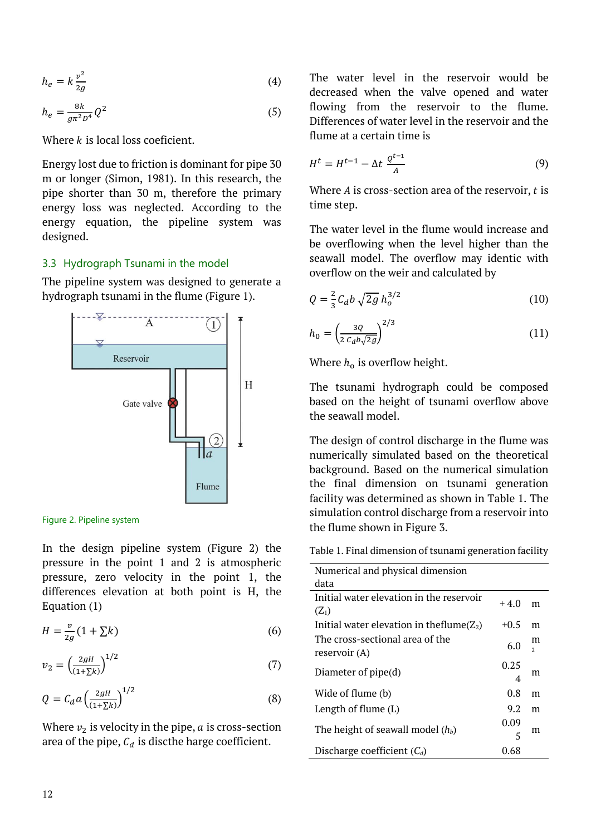$$
h_e = k \frac{v^2}{2g} \tag{4}
$$

$$
h_e = \frac{8k}{g\pi^2 D^4} Q^2
$$
 (5)

Where  $k$  is local loss coeficient.

Energy lost due to friction is dominant for pipe 30 m or longer (Simon, 1981). In this research, the pipe shorter than 30 m, therefore the primary energy loss was neglected. According to the energy equation, the pipeline system was designed.

#### 3.3 Hydrograph Tsunami in the model

The pipeline system was designed to generate a hydrograph tsunami in the flume (Figure 1).



Figure 2. Pipeline system

In the design pipeline system (Figure 2) the pressure in the point 1 and 2 is atmospheric pressure, zero velocity in the point 1, the differences elevation at both point is H, the Equation (1)

$$
H = \frac{v}{2g}(1 + \sum k)
$$
 (6)

$$
v_2 = \left(\frac{2gH}{(1+\Sigma k)}\right)^{1/2} \tag{7}
$$

$$
Q = C_d a \left(\frac{2gH}{(1+\Sigma k)}\right)^{1/2} \tag{8}
$$

Where  $v_2$  is velocity in the pipe,  $a$  is cross-section area of the pipe,  $C_d$  is discthe harge coefficient.

The water level in the reservoir would be decreased when the valve opened and water flowing from the reservoir to the flume. Differences of water level in the reservoir and the flume at a certain time is

$$
H^t = H^{t-1} - \Delta t \frac{Q^{t-1}}{A} \tag{9}
$$

Where  $A$  is cross-section area of the reservoir,  $t$  is time step.

The water level in the flume would increase and be overflowing when the level higher than the seawall model. The overflow may identic with overflow on the weir and calculated by

$$
Q = \frac{2}{3} C_d b \sqrt{2g} h_o^{3/2}
$$
 (10)

$$
h_0 = \left(\frac{3Q}{2\ c_d b \sqrt{2g}}\right)^{2/3} \tag{11}
$$

Where  $h_0$  is overflow height.

The tsunami hydrograph could be composed based on the height of tsunami overflow above the seawall model.

The design of control discharge in the flume was numerically simulated based on the theoretical background. Based on the numerical simulation the final dimension on tsunami generation facility was determined as shown in Table 1. The simulation control discharge from a reservoir into the flume shown in Figure 3.

Table 1. Final dimension of tsunami generation facility

| Numerical and physical dimension                 |             |                    |
|--------------------------------------------------|-------------|--------------------|
| data                                             |             |                    |
| Initial water elevation in the reservoir         | $+4.0$      | m                  |
| $(Z_1)$                                          |             |                    |
| Initial water elevation in theflume( $Z_2$ )     | $+0.5$      | m                  |
| The cross-sectional area of the<br>reservoir (A) | 6. $\Omega$ | m<br>$\mathcal{D}$ |
| Diameter of pipe(d)                              | 0.25<br>4   | m                  |
| Wide of flume (b)                                | 0.8         | m                  |
| Length of flume $(L)$                            | 9.2         | m                  |
| The height of seawall model $(h_b)$              | 0.09        | m                  |
|                                                  | 5           |                    |
| Discharge coefficient $(C_d)$                    | 0.68        |                    |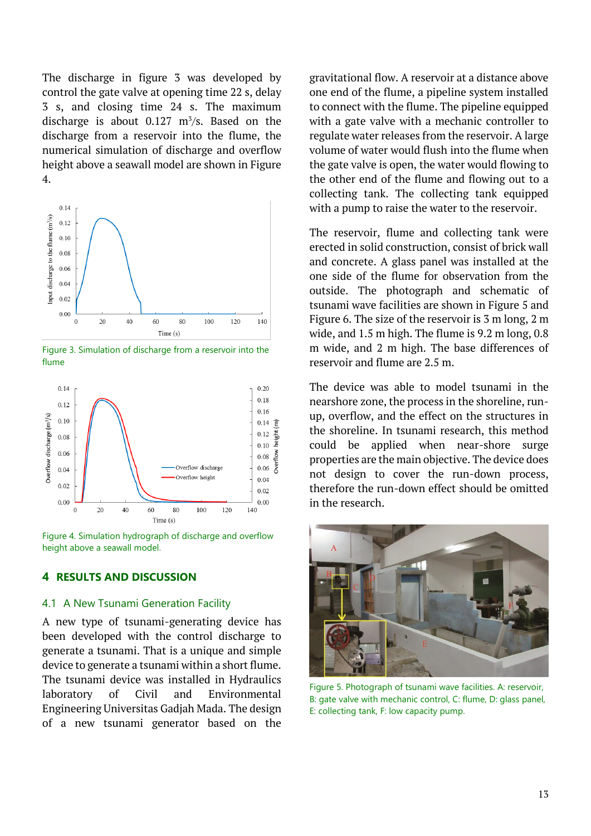The discharge in figure 3 was developed by control the gate valve at opening time 22 s, delay 3 s, and closing time 24 s. The maximum discharge is about  $0.127 \text{ m}^3/\text{s}$ . Based on the discharge from a reservoir into the flume, the numerical simulation of discharge and overflow height above a seawall model are shown in Figure 4.



Figure 3. Simulation of discharge from a reservoir into the flume



Figure 4. Simulation hydrograph of discharge and overflow height above a seawall model.

### **4 RESULTS AND DISCUSSION**

#### 4.1 A New Tsunami Generation Facility

A new type of tsunami-generating device has been developed with the control discharge to generate a tsunami. That is a unique and simple device to generate a tsunami within a short flume. The tsunami device was installed in Hydraulics laboratory of Civil and Environmental Engineering Universitas Gadjah Mada. The design of a new tsunami generator based on the

gravitational flow. A reservoir at a distance above one end of the flume, a pipeline system installed to connect with the flume. The pipeline equipped with a gate valve with a mechanic controller to regulate water releases from the reservoir. A large volume of water would flush into the flume when the gate valve is open, the water would flowing to the other end of the flume and flowing out to a collecting tank. The collecting tank equipped with a pump to raise the water to the reservoir.

The reservoir, flume and collecting tank were erected in solid construction, consist of brick wall and concrete. A glass panel was installed at the one side of the flume for observation from the outside. The photograph and schematic of tsunami wave facilities are shown in Figure 5 and Figure 6. The size of the reservoir is 3 m long, 2 m wide, and 1.5 m high. The flume is 9.2 m long, 0.8 m wide, and 2 m high. The base differences of reservoir and flume are 2.5 m.

The device was able to model tsunami in the nearshore zone, the process in the shoreline, runup, overflow, and the effect on the structures in the shoreline. In tsunami research, this method could be applied when near-shore surge properties are the main objective. The device does not design to cover the run-down process, therefore the run-down effect should be omitted in the research.



Figure 5. Photograph of tsunami wave facilities. A: reservoir, B: gate valve with mechanic control, C: flume, D: glass panel, E: collecting tank, F: low capacity pump.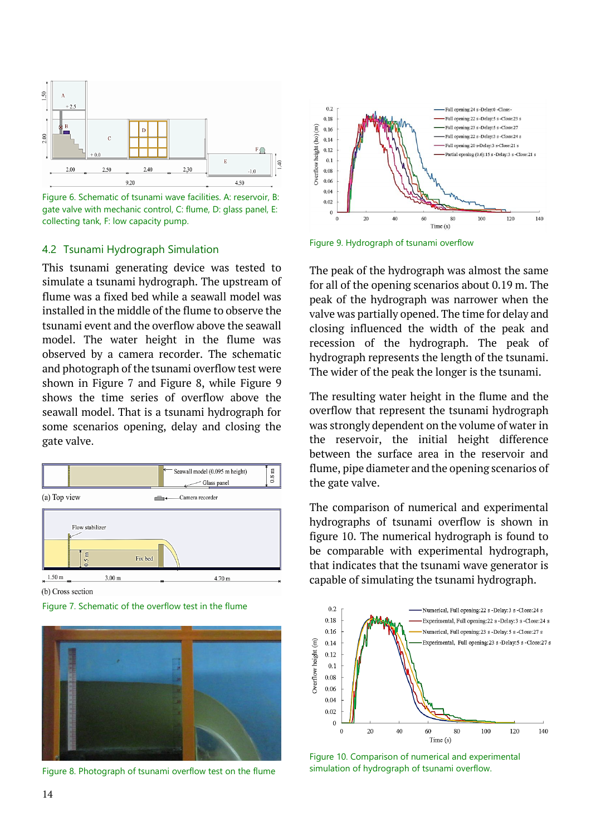

Figure 6. Schematic of tsunami wave facilities. A: reservoir, B: gate valve with mechanic control, C: flume, D: glass panel, E: collecting tank, F: low capacity pump.

#### 4.2 Tsunami Hydrograph Simulation

This tsunami generating device was tested to simulate a tsunami hydrograph. The upstream of flume was a fixed bed while a seawall model was installed in the middle of the flume to observe the tsunami event and the overflow above the seawall model. The water height in the flume was observed by a camera recorder. The schematic and photograph of the tsunami overflow test were shown in Figure 7 and Figure 8, while Figure 9 shows the time series of overflow above the seawall model. That is a tsunami hydrograph for some scenarios opening, delay and closing the gate valve.



(b) Cross section





Figure 8. Photograph of tsunami overflow test on the flume



Figure 9. Hydrograph of tsunami overflow

The peak of the hydrograph was almost the same for all of the opening scenarios about 0.19 m. The peak of the hydrograph was narrower when the valve was partially opened. The time for delay and closing influenced the width of the peak and recession of the hydrograph. The peak of hydrograph represents the length of the tsunami. The wider of the peak the longer is the tsunami.

The resulting water height in the flume and the overflow that represent the tsunami hydrograph was strongly dependent on the volume of water in the reservoir, the initial height difference between the surface area in the reservoir and flume, pipe diameter and the opening scenarios of the gate valve.

The comparison of numerical and experimental hydrographs of tsunami overflow is shown in figure 10. The numerical hydrograph is found to be comparable with experimental hydrograph, that indicates that the tsunami wave generator is capable of simulating the tsunami hydrograph.



Figure 10. Comparison of numerical and experimental simulation of hydrograph of tsunami overflow.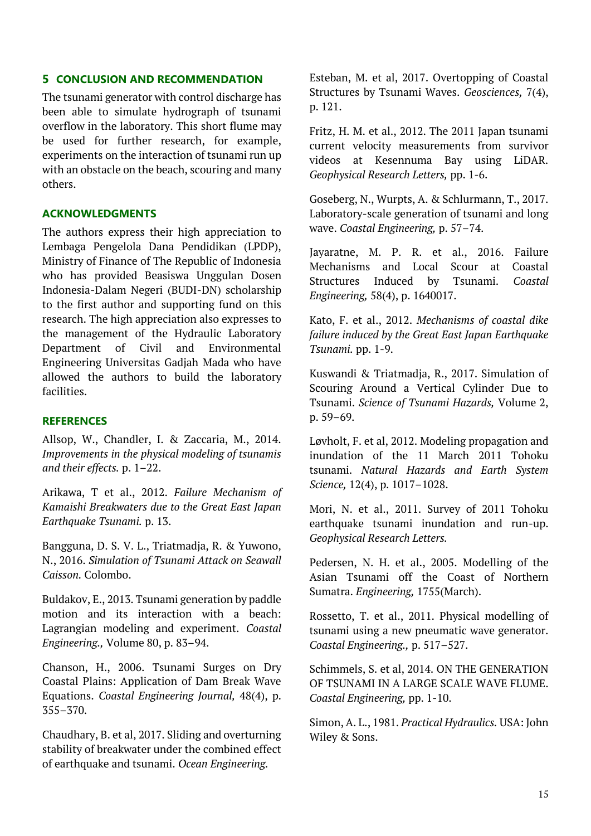# **5 CONCLUSION AND RECOMMENDATION**

The tsunami generator with control discharge has been able to simulate hydrograph of tsunami overflow in the laboratory. This short flume may be used for further research, for example, experiments on the interaction of tsunami run up with an obstacle on the beach, scouring and many others.

### **ACKNOWLEDGMENTS**

The authors express their high appreciation to Lembaga Pengelola Dana Pendidikan (LPDP), Ministry of Finance of The Republic of Indonesia who has provided Beasiswa Unggulan Dosen Indonesia-Dalam Negeri (BUDI-DN) scholarship to the first author and supporting fund on this research. The high appreciation also expresses to the management of the Hydraulic Laboratory Department of Civil and Environmental Engineering Universitas Gadjah Mada who have allowed the authors to build the laboratory facilities.

### **REFERENCES**

Allsop, W., Chandler, I. & Zaccaria, M., 2014. *Improvements in the physical modeling of tsunamis and their effects.* p. 1–22.

Arikawa, T et al., 2012. *Failure Mechanism of Kamaishi Breakwaters due to the Great East Japan Earthquake Tsunami.* p. 13.

Bangguna, D. S. V. L., Triatmadja, R. & Yuwono, N., 2016. *Simulation of Tsunami Attack on Seawall Caisson.* Colombo.

Buldakov, E., 2013. Tsunami generation by paddle motion and its interaction with a beach: Lagrangian modeling and experiment. *Coastal Engineering.,* Volume 80, p. 83–94.

Chanson, H., 2006. Tsunami Surges on Dry Coastal Plains: Application of Dam Break Wave Equations. *Coastal Engineering Journal,* 48(4), p. 355–370.

Chaudhary, B. et al, 2017. Sliding and overturning stability of breakwater under the combined effect of earthquake and tsunami. *Ocean Engineering.*

Esteban, M. et al, 2017. Overtopping of Coastal Structures by Tsunami Waves. *Geosciences,* 7(4), p. 121.

Fritz, H. M. et al., 2012. The 2011 Japan tsunami current velocity measurements from survivor videos at Kesennuma Bay using LiDAR. *Geophysical Research Letters,* pp. 1-6.

Goseberg, N., Wurpts, A. & Schlurmann, T., 2017. Laboratory-scale generation of tsunami and long wave. *Coastal Engineering,* p. 57–74.

Jayaratne, M. P. R. et al., 2016. Failure Mechanisms and Local Scour at Coastal Structures Induced by Tsunami. *Coastal Engineering,* 58(4), p. 1640017.

Kato, F. et al., 2012. *Mechanisms of coastal dike failure induced by the Great East Japan Earthquake Tsunami.* pp. 1-9.

Kuswandi & Triatmadja, R., 2017. Simulation of Scouring Around a Vertical Cylinder Due to Tsunami. *Science of Tsunami Hazards,* Volume 2, p. 59–69.

Løvholt, F. et al, 2012. Modeling propagation and inundation of the 11 March 2011 Tohoku tsunami. *Natural Hazards and Earth System Science,* 12(4), p. 1017–1028.

Mori, N. et al., 2011. Survey of 2011 Tohoku earthquake tsunami inundation and run-up. *Geophysical Research Letters.*

Pedersen, N. H. et al., 2005. Modelling of the Asian Tsunami off the Coast of Northern Sumatra. *Engineering,* 1755(March).

Rossetto, T. et al., 2011. Physical modelling of tsunami using a new pneumatic wave generator. *Coastal Engineering.,* p. 517–527.

Schimmels, S. et al, 2014. ON THE GENERATION OF TSUNAMI IN A LARGE SCALE WAVE FLUME. *Coastal Engineering,* pp. 1-10.

Simon, A. L., 1981. *Practical Hydraulics.* USA: John Wiley & Sons.